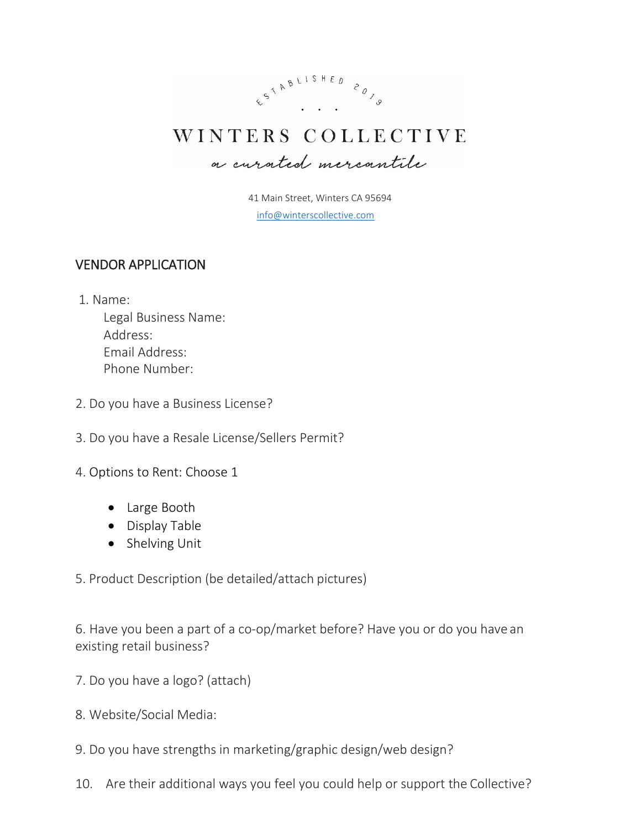

41 Main Street, Winters CA 95694 [info@winterscollective.com](mailto:meika@winterscollective.com)

## VENDOR APPLICATION

1. Name:

Legal Business Name: Address: Email Address: Phone Number:

- 2. Do you have a Business License?
- 3. Do you have a Resale License/Sellers Permit?
- 4. Options to Rent: Choose 1
	- Large Booth
	- Display Table
	- Shelving Unit
- 5. Product Description (be detailed/attach pictures)

6. Have you been a part of a co-op/market before? Have you or do you have an existing retail business?

- 7. Do you have a logo? (attach)
- 8. Website/Social Media:
- 9. Do you have strengths in marketing/graphic design/web design?
- 10. Are their additional ways you feel you could help or support the Collective?